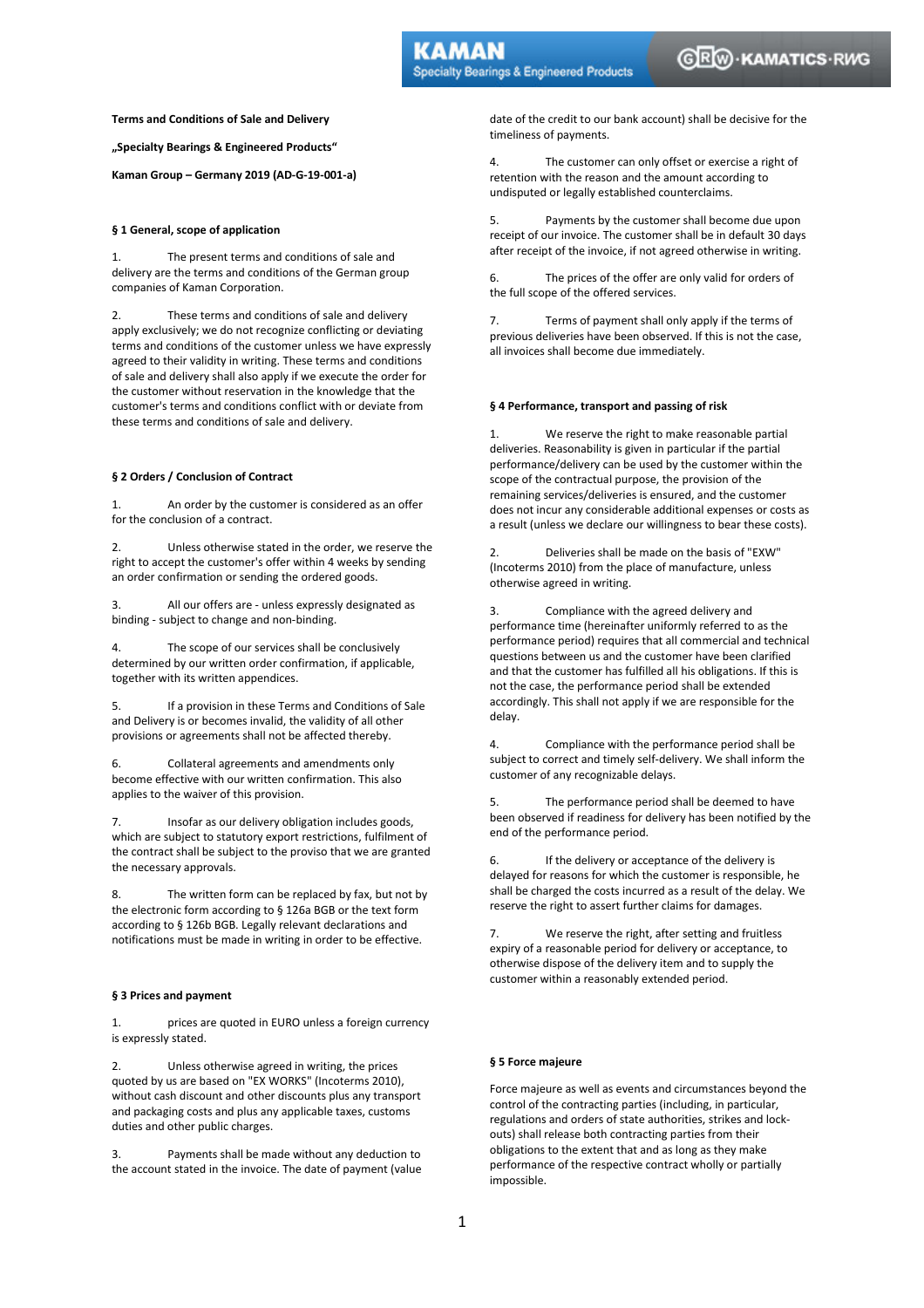**Terms and Conditions of Sale and Delivery** 

**"Specialty Bearings & Engineered Products"** 

**Kaman Group – Germany 2019 (AD-G-19-001-a)** 

### **§ 1 General, scope of application**

1. The present terms and conditions of sale and delivery are the terms and conditions of the German group companies of Kaman Corporation.

2. These terms and conditions of sale and delivery apply exclusively; we do not recognize conflicting or deviating terms and conditions of the customer unless we have expressly agreed to their validity in writing. These terms and conditions of sale and delivery shall also apply if we execute the order for the customer without reservation in the knowledge that the customer's terms and conditions conflict with or deviate from these terms and conditions of sale and delivery.

### **§ 2 Orders / Conclusion of Contract**

1. An order by the customer is considered as an offer for the conclusion of a contract.

2. Unless otherwise stated in the order, we reserve the right to accept the customer's offer within 4 weeks by sending an order confirmation or sending the ordered goods.

3. All our offers are - unless expressly designated as binding - subject to change and non-binding.

4. The scope of our services shall be conclusively determined by our written order confirmation, if applicable, together with its written appendices.

5. If a provision in these Terms and Conditions of Sale and Delivery is or becomes invalid, the validity of all other provisions or agreements shall not be affected thereby.

6. Collateral agreements and amendments only become effective with our written confirmation. This also applies to the waiver of this provision.

7. Insofar as our delivery obligation includes goods, which are subject to statutory export restrictions, fulfilment of the contract shall be subject to the proviso that we are granted the necessary approvals.

8. The written form can be replaced by fax, but not by the electronic form according to § 126a BGB or the text form according to § 126b BGB. Legally relevant declarations and notifications must be made in writing in order to be effective.

# **§ 3 Prices and payment**

1. prices are quoted in EURO unless a foreign currency is expressly stated.

2. Unless otherwise agreed in writing, the prices quoted by us are based on "EX WORKS" (Incoterms 2010), without cash discount and other discounts plus any transport and packaging costs and plus any applicable taxes, customs duties and other public charges.

3. Payments shall be made without any deduction to the account stated in the invoice. The date of payment (value date of the credit to our bank account) shall be decisive for the timeliness of payments.

**Specialty Bearings & Engineered Products** 

4. The customer can only offset or exercise a right of retention with the reason and the amount according to undisputed or legally established counterclaims.

5. Payments by the customer shall become due upon receipt of our invoice. The customer shall be in default 30 days after receipt of the invoice, if not agreed otherwise in writing.

6. The prices of the offer are only valid for orders of the full scope of the offered services.

7. Terms of payment shall only apply if the terms of previous deliveries have been observed. If this is not the case, all invoices shall become due immediately.

## **§ 4 Performance, transport and passing of risk**

1. We reserve the right to make reasonable partial deliveries. Reasonability is given in particular if the partial performance/delivery can be used by the customer within the scope of the contractual purpose, the provision of the remaining services/deliveries is ensured, and the customer does not incur any considerable additional expenses or costs as a result (unless we declare our willingness to bear these costs).

2. Deliveries shall be made on the basis of "EXW" (Incoterms 2010) from the place of manufacture, unless otherwise agreed in writing.

3. Compliance with the agreed delivery and performance time (hereinafter uniformly referred to as the performance period) requires that all commercial and technical questions between us and the customer have been clarified and that the customer has fulfilled all his obligations. If this is not the case, the performance period shall be extended accordingly. This shall not apply if we are responsible for the delay.

4. Compliance with the performance period shall be subject to correct and timely self-delivery. We shall inform the customer of any recognizable delays.

The performance period shall be deemed to have been observed if readiness for delivery has been notified by the end of the performance period.

6. If the delivery or acceptance of the delivery is delayed for reasons for which the customer is responsible, he shall be charged the costs incurred as a result of the delay. We reserve the right to assert further claims for damages.

7. We reserve the right, after setting and fruitless expiry of a reasonable period for delivery or acceptance, to otherwise dispose of the delivery item and to supply the customer within a reasonably extended period.

#### **§ 5 Force majeure**

Force majeure as well as events and circumstances beyond the control of the contracting parties (including, in particular, regulations and orders of state authorities, strikes and lockouts) shall release both contracting parties from their obligations to the extent that and as long as they make performance of the respective contract wholly or partially impossible.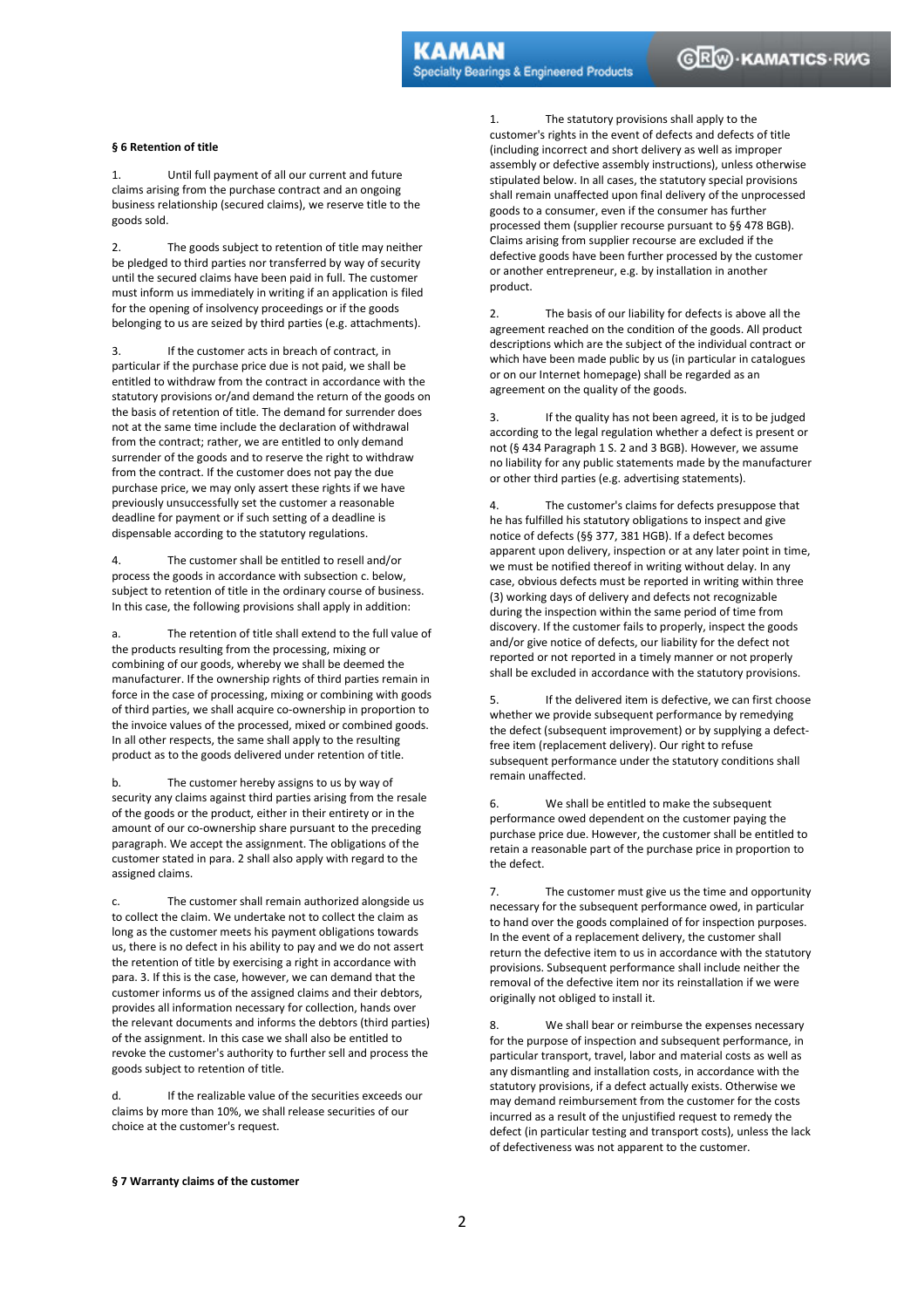## **§ 6 Retention of title**

1. Until full payment of all our current and future claims arising from the purchase contract and an ongoing business relationship (secured claims), we reserve title to the goods sold.

2. The goods subject to retention of title may neither be pledged to third parties nor transferred by way of security until the secured claims have been paid in full. The customer must inform us immediately in writing if an application is filed for the opening of insolvency proceedings or if the goods belonging to us are seized by third parties (e.g. attachments).

3. If the customer acts in breach of contract, in particular if the purchase price due is not paid, we shall be entitled to withdraw from the contract in accordance with the statutory provisions or/and demand the return of the goods on the basis of retention of title. The demand for surrender does not at the same time include the declaration of withdrawal from the contract; rather, we are entitled to only demand surrender of the goods and to reserve the right to withdraw from the contract. If the customer does not pay the due purchase price, we may only assert these rights if we have previously unsuccessfully set the customer a reasonable deadline for payment or if such setting of a deadline is dispensable according to the statutory regulations.

4. The customer shall be entitled to resell and/or process the goods in accordance with subsection c. below, subject to retention of title in the ordinary course of business. In this case, the following provisions shall apply in addition:

a. The retention of title shall extend to the full value of the products resulting from the processing, mixing or combining of our goods, whereby we shall be deemed the manufacturer. If the ownership rights of third parties remain in force in the case of processing, mixing or combining with goods of third parties, we shall acquire co-ownership in proportion to the invoice values of the processed, mixed or combined goods. In all other respects, the same shall apply to the resulting product as to the goods delivered under retention of title.

b. The customer hereby assigns to us by way of security any claims against third parties arising from the resale of the goods or the product, either in their entirety or in the amount of our co-ownership share pursuant to the preceding paragraph. We accept the assignment. The obligations of the customer stated in para. 2 shall also apply with regard to the assigned claims.

c. The customer shall remain authorized alongside us to collect the claim. We undertake not to collect the claim as long as the customer meets his payment obligations towards us, there is no defect in his ability to pay and we do not assert the retention of title by exercising a right in accordance with para. 3. If this is the case, however, we can demand that the customer informs us of the assigned claims and their debtors, provides all information necessary for collection, hands over the relevant documents and informs the debtors (third parties) of the assignment. In this case we shall also be entitled to revoke the customer's authority to further sell and process the goods subject to retention of title.

d. If the realizable value of the securities exceeds our claims by more than 10%, we shall release securities of our choice at the customer's request.

1. The statutory provisions shall apply to the customer's rights in the event of defects and defects of title (including incorrect and short delivery as well as improper assembly or defective assembly instructions), unless otherwise stipulated below. In all cases, the statutory special provisions shall remain unaffected upon final delivery of the unprocessed goods to a consumer, even if the consumer has further processed them (supplier recourse pursuant to §§ 478 BGB). Claims arising from supplier recourse are excluded if the defective goods have been further processed by the customer or another entrepreneur, e.g. by installation in another product.

2. The basis of our liability for defects is above all the agreement reached on the condition of the goods. All product descriptions which are the subject of the individual contract or which have been made public by us (in particular in catalogues or on our Internet homepage) shall be regarded as an agreement on the quality of the goods.

3. If the quality has not been agreed, it is to be judged according to the legal regulation whether a defect is present or not (§ 434 Paragraph 1 S. 2 and 3 BGB). However, we assume no liability for any public statements made by the manufacturer or other third parties (e.g. advertising statements).

4. The customer's claims for defects presuppose that he has fulfilled his statutory obligations to inspect and give notice of defects (§§ 377, 381 HGB). If a defect becomes apparent upon delivery, inspection or at any later point in time, we must be notified thereof in writing without delay. In any case, obvious defects must be reported in writing within three (3) working days of delivery and defects not recognizable during the inspection within the same period of time from discovery. If the customer fails to properly, inspect the goods and/or give notice of defects, our liability for the defect not reported or not reported in a timely manner or not properly shall be excluded in accordance with the statutory provisions.

5. If the delivered item is defective, we can first choose whether we provide subsequent performance by remedying the defect (subsequent improvement) or by supplying a defectfree item (replacement delivery). Our right to refuse subsequent performance under the statutory conditions shall remain unaffected.

6. We shall be entitled to make the subsequent performance owed dependent on the customer paying the purchase price due. However, the customer shall be entitled to retain a reasonable part of the purchase price in proportion to the defect.

7. The customer must give us the time and opportunity necessary for the subsequent performance owed, in particular to hand over the goods complained of for inspection purposes. In the event of a replacement delivery, the customer shall return the defective item to us in accordance with the statutory provisions. Subsequent performance shall include neither the removal of the defective item nor its reinstallation if we were originally not obliged to install it.

8. We shall bear or reimburse the expenses necessary for the purpose of inspection and subsequent performance, in particular transport, travel, labor and material costs as well as any dismantling and installation costs, in accordance with the statutory provisions, if a defect actually exists. Otherwise we may demand reimbursement from the customer for the costs incurred as a result of the unjustified request to remedy the defect (in particular testing and transport costs), unless the lack of defectiveness was not apparent to the customer.

## **§ 7 Warranty claims of the customer**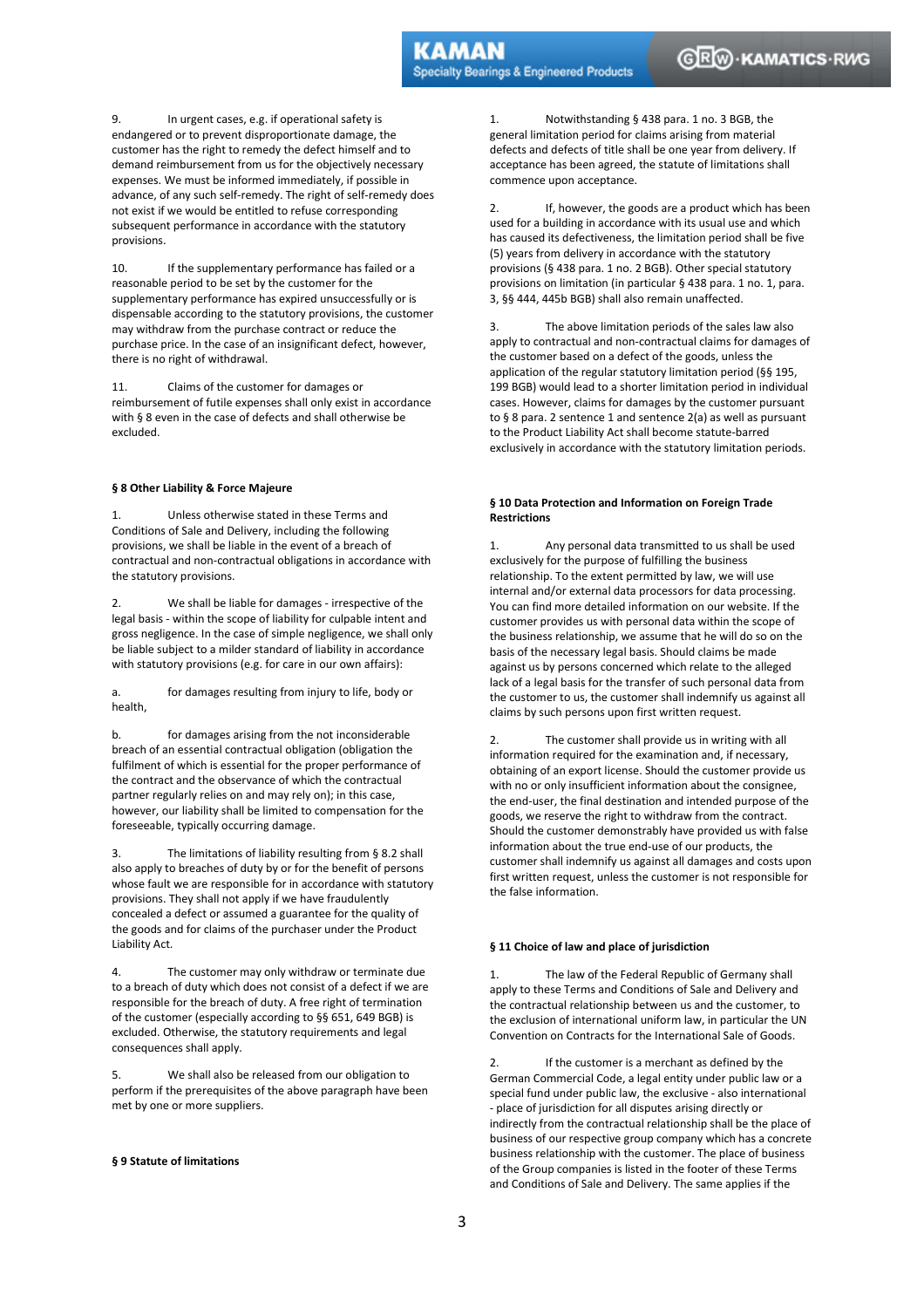9. In urgent cases, e.g. if operational safety is endangered or to prevent disproportionate damage, the customer has the right to remedy the defect himself and to demand reimbursement from us for the objectively necessary expenses. We must be informed immediately, if possible in advance, of any such self-remedy. The right of self-remedy does not exist if we would be entitled to refuse corresponding subsequent performance in accordance with the statutory provisions.

10. If the supplementary performance has failed or a reasonable period to be set by the customer for the supplementary performance has expired unsuccessfully or is dispensable according to the statutory provisions, the customer may withdraw from the purchase contract or reduce the purchase price. In the case of an insignificant defect, however, there is no right of withdrawal.

11. Claims of the customer for damages or reimbursement of futile expenses shall only exist in accordance with § 8 even in the case of defects and shall otherwise be excluded.

# **§ 8 Other Liability & Force Majeure**

1. Unless otherwise stated in these Terms and Conditions of Sale and Delivery, including the following provisions, we shall be liable in the event of a breach of contractual and non-contractual obligations in accordance with the statutory provisions.

2. We shall be liable for damages - irrespective of the legal basis - within the scope of liability for culpable intent and gross negligence. In the case of simple negligence, we shall only be liable subject to a milder standard of liability in accordance with statutory provisions (e.g. for care in our own affairs):

a. for damages resulting from injury to life, body or health,

b. for damages arising from the not inconsiderable breach of an essential contractual obligation (obligation the fulfilment of which is essential for the proper performance of the contract and the observance of which the contractual partner regularly relies on and may rely on); in this case, however, our liability shall be limited to compensation for the foreseeable, typically occurring damage.

3. The limitations of liability resulting from § 8.2 shall also apply to breaches of duty by or for the benefit of persons whose fault we are responsible for in accordance with statutory provisions. They shall not apply if we have fraudulently concealed a defect or assumed a guarantee for the quality of the goods and for claims of the purchaser under the Product Liability Act.

4. The customer may only withdraw or terminate due to a breach of duty which does not consist of a defect if we are responsible for the breach of duty. A free right of termination of the customer (especially according to §§ 651, 649 BGB) is excluded. Otherwise, the statutory requirements and legal consequences shall apply.

5. We shall also be released from our obligation to perform if the prerequisites of the above paragraph have been met by one or more suppliers.

## **§ 9 Statute of limitations**

1. Notwithstanding § 438 para. 1 no. 3 BGB, the general limitation period for claims arising from material defects and defects of title shall be one year from delivery. If acceptance has been agreed, the statute of limitations shall commence upon acceptance.

2. If, however, the goods are a product which has been used for a building in accordance with its usual use and which has caused its defectiveness, the limitation period shall be five (5) years from delivery in accordance with the statutory provisions (§ 438 para. 1 no. 2 BGB). Other special statutory provisions on limitation (in particular § 438 para. 1 no. 1, para. 3, §§ 444, 445b BGB) shall also remain unaffected.

3. The above limitation periods of the sales law also apply to contractual and non-contractual claims for damages of the customer based on a defect of the goods, unless the application of the regular statutory limitation period (§§ 195, 199 BGB) would lead to a shorter limitation period in individual cases. However, claims for damages by the customer pursuant to § 8 para. 2 sentence 1 and sentence 2(a) as well as pursuant to the Product Liability Act shall become statute-barred exclusively in accordance with the statutory limitation periods.

# **§ 10 Data Protection and Information on Foreign Trade Restrictions**

1. Any personal data transmitted to us shall be used exclusively for the purpose of fulfilling the business relationship. To the extent permitted by law, we will use internal and/or external data processors for data processing. You can find more detailed information on our website. If the customer provides us with personal data within the scope of the business relationship, we assume that he will do so on the basis of the necessary legal basis. Should claims be made against us by persons concerned which relate to the alleged lack of a legal basis for the transfer of such personal data from the customer to us, the customer shall indemnify us against all claims by such persons upon first written request.

2. The customer shall provide us in writing with all information required for the examination and, if necessary, obtaining of an export license. Should the customer provide us with no or only insufficient information about the consignee, the end-user, the final destination and intended purpose of the goods, we reserve the right to withdraw from the contract. Should the customer demonstrably have provided us with false information about the true end-use of our products, the customer shall indemnify us against all damages and costs upon first written request, unless the customer is not responsible for the false information.

## **§ 11 Choice of law and place of jurisdiction**

1. The law of the Federal Republic of Germany shall apply to these Terms and Conditions of Sale and Delivery and the contractual relationship between us and the customer, to the exclusion of international uniform law, in particular the UN Convention on Contracts for the International Sale of Goods.

2. If the customer is a merchant as defined by the German Commercial Code, a legal entity under public law or a special fund under public law, the exclusive - also international - place of jurisdiction for all disputes arising directly or indirectly from the contractual relationship shall be the place of business of our respective group company which has a concrete business relationship with the customer. The place of business of the Group companies is listed in the footer of these Terms and Conditions of Sale and Delivery. The same applies if the